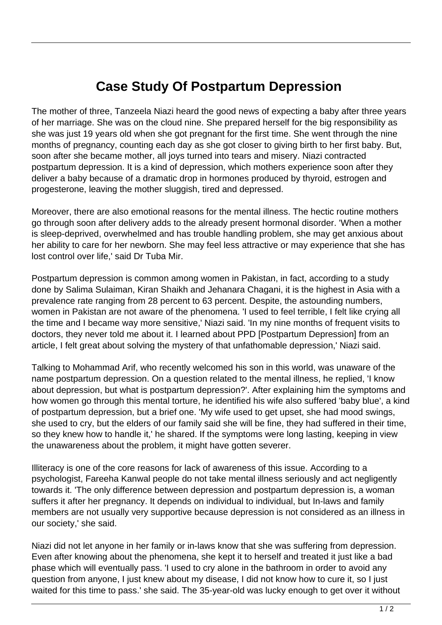## **Case Study Of Postpartum Depression**

The mother of three, Tanzeela Niazi heard the good news of expecting a baby after three years of her marriage. She was on the cloud nine. She prepared herself for the big responsibility as she was just 19 years old when she got pregnant for the first time. She went through the nine months of pregnancy, counting each day as she got closer to giving birth to her first baby. But, soon after she became mother, all joys turned into tears and misery. Niazi contracted postpartum depression. It is a kind of depression, which mothers experience soon after they deliver a baby because of a dramatic drop in hormones produced by thyroid, estrogen and progesterone, leaving the mother sluggish, tired and depressed.

Moreover, there are also emotional reasons for the mental illness. The hectic routine mothers go through soon after delivery adds to the already present hormonal disorder. 'When a mother is sleep-deprived, overwhelmed and has trouble handling problem, she may get anxious about her ability to care for her newborn. She may feel less attractive or may experience that she has lost control over life,' said Dr Tuba Mir.

Postpartum depression is common among women in Pakistan, in fact, according to a study done by Salima Sulaiman, Kiran Shaikh and Jehanara Chagani, it is the highest in Asia with a prevalence rate ranging from 28 percent to 63 percent. Despite, the astounding numbers, women in Pakistan are not aware of the phenomena. 'I used to feel terrible, I felt like crying all the time and I became way more sensitive,' Niazi said. 'In my nine months of frequent visits to doctors, they never told me about it. I learned about PPD [Postpartum Depression] from an article, I felt great about solving the mystery of that unfathomable depression,' Niazi said.

Talking to Mohammad Arif, who recently welcomed his son in this world, was unaware of the name postpartum depression. On a question related to the mental illness, he replied, 'I know about depression, but what is postpartum depression?'. After explaining him the symptoms and how women go through this mental torture, he identified his wife also suffered 'baby blue', a kind of postpartum depression, but a brief one. 'My wife used to get upset, she had mood swings, she used to cry, but the elders of our family said she will be fine, they had suffered in their time, so they knew how to handle it,' he shared. If the symptoms were long lasting, keeping in view the unawareness about the problem, it might have gotten severer.

Illiteracy is one of the core reasons for lack of awareness of this issue. According to a psychologist, Fareeha Kanwal people do not take mental illness seriously and act negligently towards it. 'The only difference between depression and postpartum depression is, a woman suffers it after her pregnancy. It depends on individual to individual, but In-laws and family members are not usually very supportive because depression is not considered as an illness in our society,' she said.

Niazi did not let anyone in her family or in-laws know that she was suffering from depression. Even after knowing about the phenomena, she kept it to herself and treated it just like a bad phase which will eventually pass. 'I used to cry alone in the bathroom in order to avoid any question from anyone, I just knew about my disease, I did not know how to cure it, so I just waited for this time to pass.' she said. The 35-year-old was lucky enough to get over it without